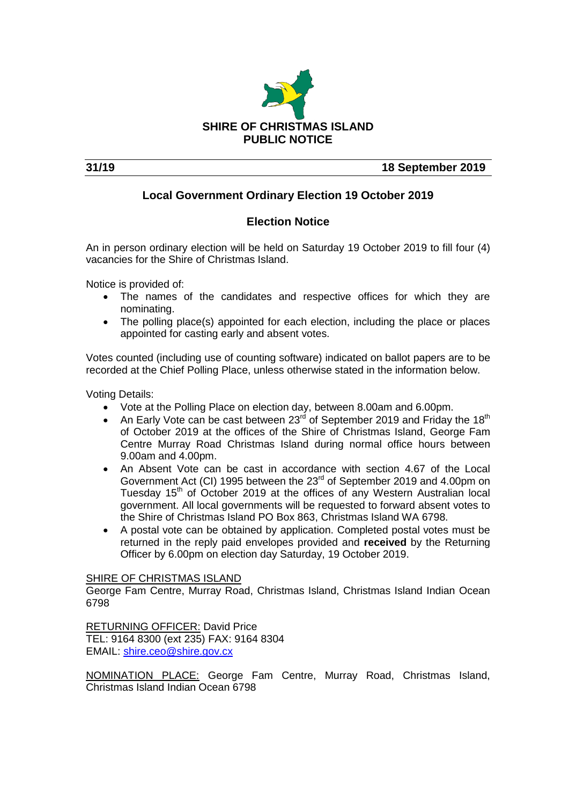

**31/19 18 September 2019**

## **Local Government Ordinary Election 19 October 2019**

## **Election Notice**

An in person ordinary election will be held on Saturday 19 October 2019 to fill four (4) vacancies for the Shire of Christmas Island.

Notice is provided of:

- The names of the candidates and respective offices for which they are nominating.
- The polling place(s) appointed for each election, including the place or places appointed for casting early and absent votes.

Votes counted (including use of counting software) indicated on ballot papers are to be recorded at the Chief Polling Place, unless otherwise stated in the information below.

Voting Details:

- Vote at the Polling Place on election day, between 8.00am and 6.00pm.
- An Early Vote can be cast between  $23<sup>rd</sup>$  of September 2019 and Friday the 18<sup>th</sup> of October 2019 at the offices of the Shire of Christmas Island, George Fam Centre Murray Road Christmas Island during normal office hours between 9.00am and 4.00pm.
- An Absent Vote can be cast in accordance with section 4.67 of the Local Government Act (CI) 1995 between the 23<sup>rd</sup> of September 2019 and 4.00pm on Tuesday 15<sup>th</sup> of October 2019 at the offices of any Western Australian local government. All local governments will be requested to forward absent votes to the Shire of Christmas Island PO Box 863, Christmas Island WA 6798.
- A postal vote can be obtained by application. Completed postal votes must be returned in the reply paid envelopes provided and **received** by the Returning Officer by 6.00pm on election day Saturday, 19 October 2019.

#### SHIRE OF CHRISTMAS ISLAND

George Fam Centre, Murray Road, Christmas Island, Christmas Island Indian Ocean 6798

RETURNING OFFICER: David Price TEL: 9164 8300 (ext 235) FAX: 9164 8304 EMAIL: [shire.ceo@shire.gov.cx](mailto:shire.ceo@shire.gov.cx)

NOMINATION PLACE: George Fam Centre, Murray Road, Christmas Island, Christmas Island Indian Ocean 6798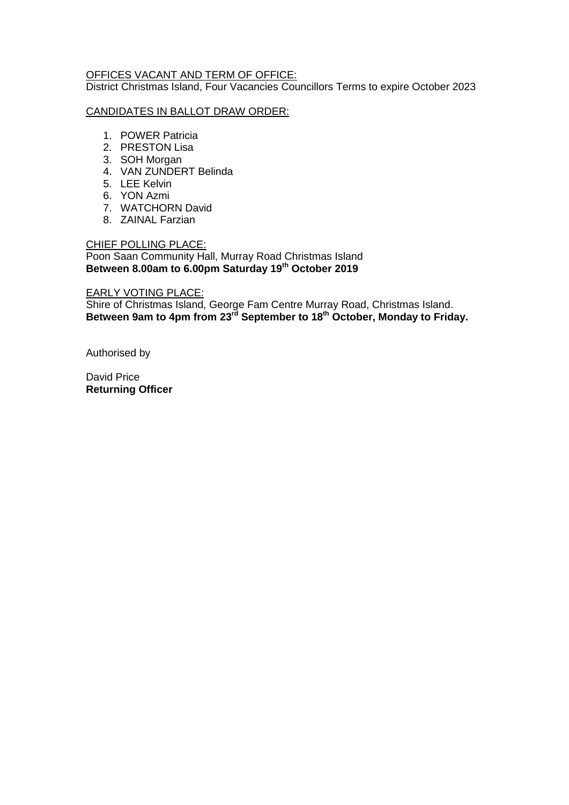#### OFFICES VACANT AND TERM OF OFFICE:

District Christmas Island, Four Vacancies Councillors Terms to expire October 2023

#### CANDIDATES IN BALLOT DRAW ORDER:

- 1. POWER Patricia
- 2. PRESTON Lisa
- 3. SOH Morgan
- 4. VAN ZUNDERT Belinda
- 5. LEE Kelvin
- 6. YON Azmi
- 7. WATCHORN David
- 8. ZAINAL Farzian

### CHIEF POLLING PLACE:

Poon Saan Community Hall, Murray Road Christmas Island **Between 8.00am to 6.00pm Saturday 19th October 2019**

#### EARLY VOTING PLACE:

Shire of Christmas Island, George Fam Centre Murray Road, Christmas Island. **Between 9am to 4pm from 23rd September to 18th October, Monday to Friday.**

Authorised by

David Price **Returning Officer**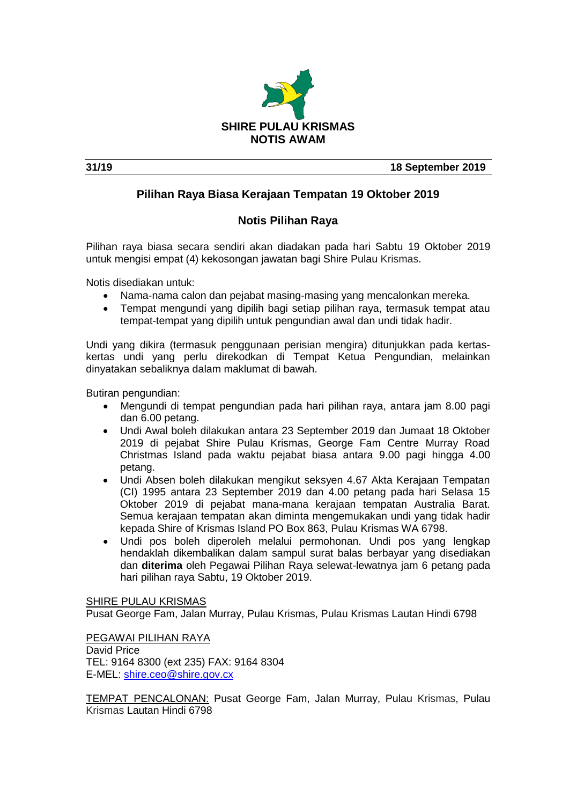

**31/19 18 September 2019**

## **Pilihan Raya Biasa Kerajaan Tempatan 19 Oktober 2019**

## **Notis Pilihan Raya**

Pilihan raya biasa secara sendiri akan diadakan pada hari Sabtu 19 Oktober 2019 untuk mengisi empat (4) kekosongan jawatan bagi Shire Pulau Krismas.

Notis disediakan untuk:

- Nama-nama calon dan pejabat masing-masing yang mencalonkan mereka.
- Tempat mengundi yang dipilih bagi setiap pilihan raya, termasuk tempat atau tempat-tempat yang dipilih untuk pengundian awal dan undi tidak hadir.

Undi yang dikira (termasuk penggunaan perisian mengira) ditunjukkan pada kertaskertas undi yang perlu direkodkan di Tempat Ketua Pengundian, melainkan dinyatakan sebaliknya dalam maklumat di bawah.

Butiran pengundian:

- Mengundi di tempat pengundian pada hari pilihan raya, antara jam 8.00 pagi dan 6.00 petang.
- Undi Awal boleh dilakukan antara 23 September 2019 dan Jumaat 18 Oktober 2019 di pejabat Shire Pulau Krismas, George Fam Centre Murray Road Christmas Island pada waktu pejabat biasa antara 9.00 pagi hingga 4.00 petang.
- Undi Absen boleh dilakukan mengikut seksyen 4.67 Akta Kerajaan Tempatan (CI) 1995 antara 23 September 2019 dan 4.00 petang pada hari Selasa 15 Oktober 2019 di pejabat mana-mana kerajaan tempatan Australia Barat. Semua kerajaan tempatan akan diminta mengemukakan undi yang tidak hadir kepada Shire of Krismas Island PO Box 863, Pulau Krismas WA 6798.
- Undi pos boleh diperoleh melalui permohonan. Undi pos yang lengkap hendaklah dikembalikan dalam sampul surat balas berbayar yang disediakan dan **diterima** oleh Pegawai Pilihan Raya selewat-lewatnya jam 6 petang pada hari pilihan raya Sabtu, 19 Oktober 2019.

SHIRE PULAU KRISMAS

Pusat George Fam, Jalan Murray, Pulau Krismas, Pulau Krismas Lautan Hindi 6798

PEGAWAI PILIHAN RAYA David Price TEL: 9164 8300 (ext 235) FAX: 9164 8304 E-MEL: [shire.ceo@shire.gov.cx](mailto:shire.ceo@shire.gov.cx)

TEMPAT PENCALONAN: Pusat George Fam, Jalan Murray, Pulau Krismas, Pulau Krismas Lautan Hindi 6798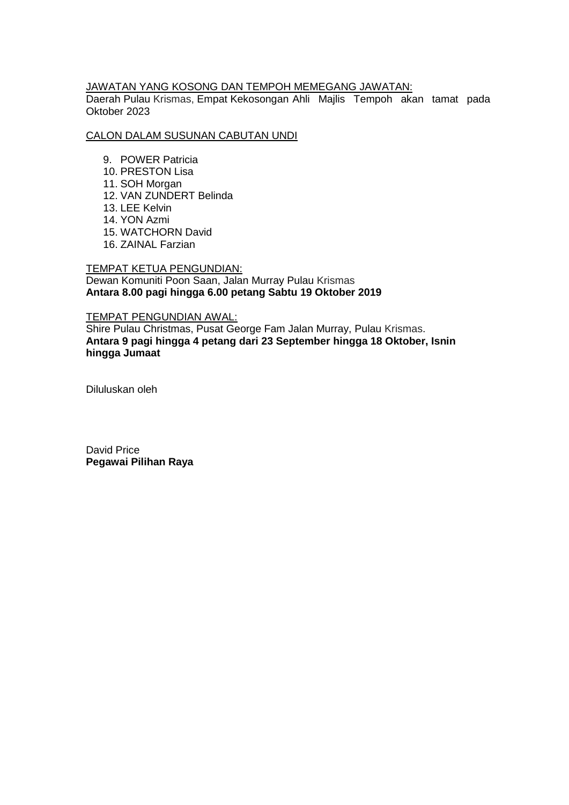#### JAWATAN YANG KOSONG DAN TEMPOH MEMEGANG JAWATAN:

Daerah Pulau Krismas, Empat Kekosongan Ahli Majlis Tempoh akan tamat pada Oktober 2023

#### CALON DALAM SUSUNAN CABUTAN UNDI

- 9. POWER Patricia
- 10. PRESTON Lisa
- 11. SOH Morgan
- 12. VAN ZUNDERT Belinda
- 13. LEE Kelvin
- 14. YON Azmi
- 15. WATCHORN David
- 16. ZAINAL Farzian

#### TEMPAT KETUA PENGUNDIAN: Dewan Komuniti Poon Saan, Jalan Murray Pulau Krismas **Antara 8.00 pagi hingga 6.00 petang Sabtu 19 Oktober 2019**

#### TEMPAT PENGUNDIAN AWAL:

Shire Pulau Christmas, Pusat George Fam Jalan Murray, Pulau Krismas. **Antara 9 pagi hingga 4 petang dari 23 September hingga 18 Oktober, Isnin hingga Jumaat**

Diluluskan oleh

David Price **Pegawai Pilihan Raya**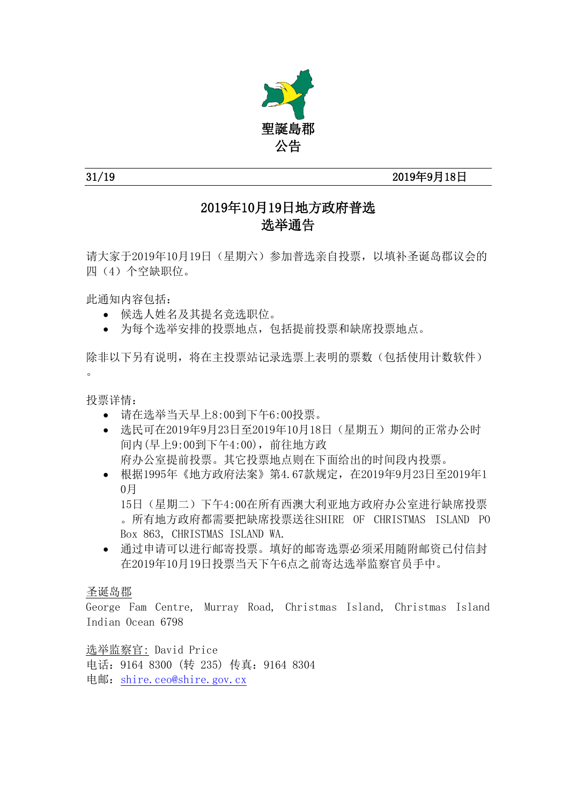

## 31/19 2019年9月18日

# 2019年10月19日地方政府普选 选举通告

请大家于2019年10月19日(星期六)参加普选亲自投票,以填补圣诞岛郡议会的 四(4)个空缺职位。

此通知内容包括:

- 候选人姓名及其提名竞选职位。
- 为每个选举安排的投票地点,包括提前投票和缺席投票地点。

除非以下另有说明,将在主投票站记录选票上表明的票数(包括使用计数软件)  $\overline{a}$ 

投票详情:

- 请在选举当天早上8:00到下午6:00投票。
- 选民可在2019年9月23日至2019年10月18日(星期五)期间的正常办公时 间内(早上9:00到下午4:00),前往地方政 府办公室提前投票。其它投票地点则在下面给出的时间段内投票。
- 根据1995年《地方政府法案》第4.67款规定, 在2019年9月23日至2019年1 0月

15日(星期二)下午4:00在所有西澳大利亚地方政府办公室进行缺席投票 。所有地方政府都需要把缺席投票送往SHIRE OF CHRISTMAS ISLAND PO Box 863, CHRISTMAS ISLAND WA.

 通过申请可以进行邮寄投票。填好的邮寄选票必须采用随附邮资已付信封 在2019年10月19日投票当天下午6点之前寄达选举监察官员手中。

## 圣诞岛郡

George Fam Centre, Murray Road, Christmas Island, Christmas Island Indian Ocean 6798

选举监察官: David Price 电话:9164 8300 (转 235) 传真:9164 8304 电邮:[shire.ceo@shire.gov.cx](mailto:shire.ceo@shire.gov.cx)